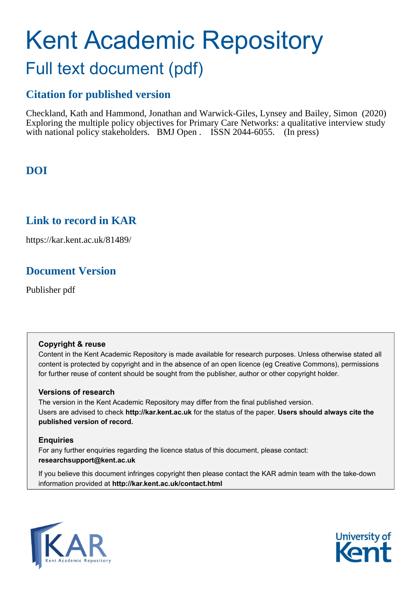# Kent Academic Repository Full text document (pdf)

## **Citation for published version**

Checkland, Kath and Hammond, Jonathan and Warwick-Giles, Lynsey and Bailey, Simon (2020) Exploring the multiple policy objectives for Primary Care Networks: a qualitative interview study with national policy stakeholders. BMJ Open . ISSN 2044-6055. (In press)

## **DOI**

### **Link to record in KAR**

https://kar.kent.ac.uk/81489/

## **Document Version**

Publisher pdf

#### **Copyright & reuse**

Content in the Kent Academic Repository is made available for research purposes. Unless otherwise stated all content is protected by copyright and in the absence of an open licence (eg Creative Commons), permissions for further reuse of content should be sought from the publisher, author or other copyright holder.

#### **Versions of research**

The version in the Kent Academic Repository may differ from the final published version. Users are advised to check **http://kar.kent.ac.uk** for the status of the paper. **Users should always cite the published version of record.**

#### **Enquiries**

For any further enquiries regarding the licence status of this document, please contact: **researchsupport@kent.ac.uk**

If you believe this document infringes copyright then please contact the KAR admin team with the take-down information provided at **http://kar.kent.ac.uk/contact.html**



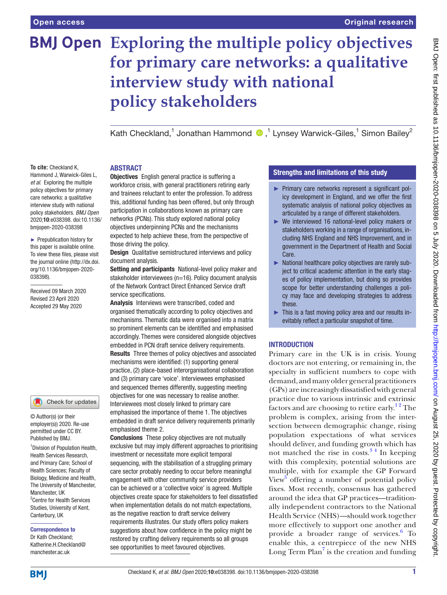## **Exploring the multiple policy objectives for primary care networks: a qualitative interview study with national policy stakeholders**

Kath Checkland,<sup>1</sup> Jonathan Hammond <sup>n 1</sup>,<sup>1</sup> Lynsey Warwick-Giles,<sup>1</sup> Simon Bailey<sup>2</sup>

#### **ABSTRACT**

**To cite:** Checkland K, Hammond J, Warwick-Giles L, *et al*. Exploring the multiple policy objectives for primary care networks: a qualitative interview study with national policy stakeholders. *BMJ Open* 2020;10:e038398. doi:10.1136/ bmjopen-2020-038398

► Prepublication history for this paper is available online. To view these files, please visit the journal online (http://dx.doi. org/10.1136/bmjopen-2020- 038398).

Received 09 March 2020 Revised 23 April 2020 Accepted 29 May 2020



© Author(s) (or their employer(s)) 2020. Re-use permitted under CC BY. Published by BMJ.

1 Division of Population Health, Health Services Research, and Primary Care; School of Health Sciences; Faculty of Biology, Medicine and Health, The University of Manchester, Manchester, UK <sup>2</sup> Centre for Health Services Studies, University of Kent, Canterbury, UK

#### Correspondence to

Dr Kath Checkland; Katherine.H.Checkland@ manchester ac.uk

Objectives English general practice is suffering a workforce crisis, with general practitioners retiring early and trainees reluctant to enter the profession. To address this, additional funding has been offered, but only through participation in collaborations known as primary care networks (PCNs). This study explored national policy objectives underpinning PCNs and the mechanisms expected to help achieve these, from the perspective of those driving the policy.

**Design** Qualitative semistructured interviews and policy document analysis.

Setting and participants National-level policy maker and stakeholder interviewees (n=16). Policy document analysis of the Network Contract Direct Enhanced Service draft service specifications.

Analysis Interviews were transcribed, coded and organised thematically according to policy objectives and mechanisms. Thematic data were organised into a matrix so prominent elements can be identified and emphasised accordingly. Themes were considered alongside objectives embedded in PCN draft service delivery requirements. Results Three themes of policy objectives and associated mechanisms were identified: (1) supporting general practice, (2) place-based interorganisational collaboration and (3) primary care 'voice'. Interviewees emphasised and sequenced themes differently, suggesting meeting objectives for one was necessary to realise another. Interviewees most closely linked to primary care emphasised the importance of theme 1. The objectives embedded in draft service delivery requirements primarily emphasised theme 2.

Conclusions These policy objectives are not mutually exclusive but may imply different approaches to prioritising investment or necessitate more explicit temporal sequencing, with the stabilisation of a struggling primary care sector probably needing to occur before meaningful engagement with other community service providers can be achieved or a 'collective voice' is agreed. Multiple objectives create space for stakeholders to feel dissatisfied when implementation details do not match expectations, as the negative reaction to draft service delivery requirements illustrates. Our study offers policy makers suggestions about how confidence in the policy might be restored by crafting delivery requirements so all groups see opportunities to meet favoured objectives.

#### Strengths and limitations of this study

- ► Primary care networks represent a significant policy development in England, and we offer the first systematic analysis of national policy objectives as articulated by a range of different stakeholders.
- ► We interviewed 16 national-level policy makers or stakeholders working in a range of organisations, including NHS England and NHS Improvement, and in government in the Department of Health and Social Care.
- ► National healthcare policy objectives are rarely subject to critical academic attention in the early stages of policy implementation, but doing so provides scope for better understanding challenges a policy may face and developing strategies to address these.
- ► This is a fast moving policy area and our results inevitably reflect a particular snapshot of time.

#### **INTRODUCTION**

Primary care in the UK is in crisis. Young doctors are not entering, or remaining in, the specialty in sufficient numbers to cope with demand, and many older general practitioners (GPs) are increasingly dissatisfied with general practice due to various intrinsic and extrinsic factors and are choosing to retire early.<sup>12</sup> The problem is complex, arising from the intersection between demographic change, rising population expectations of what services should deliver, and funding growth which has not matched the rise in costs. $3<sup>4</sup>$  In keeping with this complexity, potential solutions are multiple, with for example the GP Forward View<sup>5</sup> offering a number of potential policy fixes. Most recently, consensus has gathered around the idea that GP practices—traditionally independent contractors to the National Health Service (NHS)—should work together more effectively to support one another and provide a broader range of services.<sup>6</sup> To enable this, a centrepiece of the new NHS Long Term  $Plan<sup>7</sup>$  is the creation and funding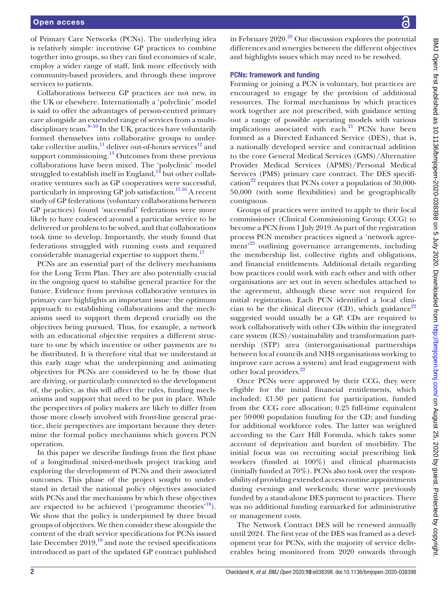of Primary Care Networks (PCNs). The underlying idea is relatively simple: incentivise GP practices to combine together into groups, so they can find economies of scale, employ a wider range of staff, link more effectively with community-based providers, and through these improve services to patients.

Collaborations between GP practices are not new, in the UK or elsewhere. Internationally a 'polyclinic' model is said to offer the advantages of person-centred primary care alongside an extended range of services from a multidisciplinary team. $8-10$  In the UK, practices have voluntarily formed themselves into collaborative groups to undertake collective audits, $\frac{11}{11}$  deliver out-of-hours services<sup>12</sup> and support commissioning. $13$  Outcomes from these previous collaborations have been mixed. The 'polyclinic' model struggled to establish itself in England, $14$  but other collaborative ventures such as GP cooperatives were successful, particularly in improving GP job satisfaction.<sup>1516</sup> A recent study of GP federations (voluntary collaborations between GP practices) found 'successful' federations were more likely to have coalesced around a particular service to be delivered or problem to be solved, and that collaborations took time to develop. Importantly, the study found that federations struggled with running costs and required considerable managerial expertise to support them.<sup>17</sup>

PCNs are an essential part of the delivery mechanisms for the Long Term Plan. They are also potentially crucial in the ongoing quest to stabilise general practice for the future. Evidence from previous collaborative ventures in primary care highlights an important issue: the optimum approach to establishing collaborations and the mechanisms used to support them depend crucially on the objectives being pursued. Thus, for example, a network with an educational objective requires a different structure to one by which incentive or other payments are to be distributed. It is therefore vital that we understand at this early stage what the underpinning and animating objectives for PCNs are considered to be by those that are driving, or particularly connected to the development of, the policy, as this will affect the rules, funding mechanisms and support that need to be put in place. While the perspectives of policy makers are likely to differ from those more closely involved with front-line general practice, their perspectives are important because they determine the formal policy mechanisms which govern PCN operation.

In this paper we describe findings from the first phase of a longitudinal mixed-methods project tracking and exploring the development of PCNs and their associated outcomes. This phase of the project sought to understand in detail the national policy objectives associated with PCNs and the mechanisms by which these objectives are expected to be achieved ('programme theories'<sup>18</sup>). We show that the policy is underpinned by three broad groups of objectives. We then consider these alongside the content of the draft service specifications for PCNs issued late December  $2019<sup>19</sup>$  and note the revised specifications introduced as part of the updated GP contract published

BMJ Open: first published as 10.1136/bmjopen-2020-038398 on 5 July 2020. Downloaded from http://bmjopen.bmj.com/ on August 25, 2020 by guest. Protected by copyright BMJ Open: first published as 10.1136/bmjopen-2020-038398 on 5 July 2020. Downloaded from <http://bmjopen.bmj.com/> on August 25, 2020 by guest. Protected by copyright.

in February  $2020$ <sup>20</sup> Our discussion explores the potential differences and synergies between the different objectives and highlights issues which may need to be resolved.

#### PCNs: framework and funding

Forming or joining a PCN is voluntary, but practices are encouraged to engage by the provision of additional resources. The formal mechanisms by which practices work together are not prescribed, with guidance setting out a range of possible operating models with various implications associated with each.<sup>21</sup> PCNs have been formed as a Directed Enhanced Service (DES), that is, a nationally developed service and contractual addition to the core General Medical Services (GMS)/Alternative Provider Medical Services (APMS)/Personal Medical Services (PMS) primary care contract. The DES specification<sup>22</sup> requires that PCNs cover a population of  $30,000$ -50,000 (with some flexibilities) and be geographically contiguous.

Groups of practices were invited to apply to their local commissioner (Clinical Commissioning Group; CCG) to become a PCN from 1 July 2019. As part of the registration process PCN member practices signed a 'network agreement<sup>23</sup> outlining governance arrangements, including the membership list, collective rights and obligations, and financial entitlements. Additional details regarding how practices could work with each other and with other organisations are set out in seven schedules attached to the agreement, although these were not required for initial registration. Each PCN identified a local clinician to be the clinical director (CD), which guidance<sup>22</sup> suggested would usually be a GP. CDs are required to work collaboratively with other CDs within the integrated care system (ICS)/sustainability and transformation partnership (STP) area (interorganisational partnerships between local councils and NHS organisations working to improve care across a system) and lead engagement with other local providers.<sup>22</sup>

Once PCNs were approved by their CCG, they were eligible for the initial financial entitlements, which included: £1.50 per patient for participation, funded from the CCG core allocation; 0.25 full-time equivalent per 50000 population funding for the CD; and funding for additional workforce roles. The latter was weighted according to the Carr Hill Formula, which takes some account of deprivation and burden of morbidity. The initial focus was on recruiting social prescribing link workers (funded at 100%) and clinical pharmacists (initially funded at 70%). PCNs also took over the responsibility of providing extended access routine appointments during evenings and weekends; these were previously funded by a stand-alone DES payment to practices. There was no additional funding earmarked for administrative or management costs.

The Network Contract DES will be renewed annually until 2024. The first year of the DES was framed as a development year for PCNs, with the majority of service deliverables being monitored from 2020 onwards through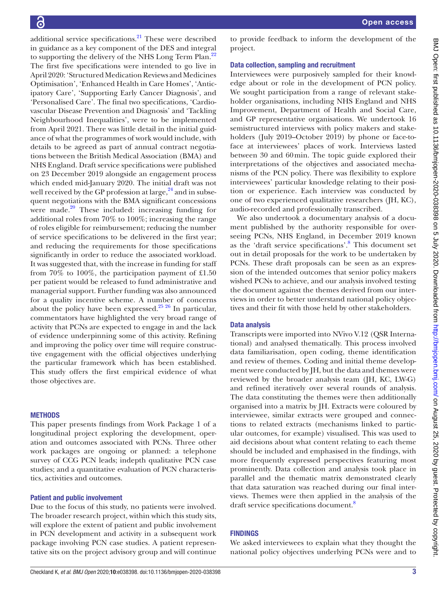additional service specifications. $^{21}$  These were described in guidance as a key component of the DES and integral to supporting the delivery of the NHS Long Term Plan.<sup>22</sup> The first five specifications were intended to go live in April 2020: 'Structured Medication Reviews and Medicines Optimisation', 'Enhanced Health in Care Homes', 'Anticipatory Care', 'Supporting Early Cancer Diagnosis', and 'Personalised Care'. The final two specifications, 'Cardiovascular Disease Prevention and Diagnosis' and 'Tackling Neighbourhood Inequalities', were to be implemented from April 2021. There was little detail in the initial guidance of what the programmes of work would include, with details to be agreed as part of annual contract negotiations between the British Medical Association (BMA) and NHS England. Draft service specifications were published on 23 December 2019 alongside an engagement process which ended mid-January 2020. The initial draft was not well received by the GP profession at large,  $24$  and in subsequent negotiations with the BMA significant concessions were made. $20$  These included: increasing funding for additional roles from 70% to 100%; increasing the range of roles eligible for reimbursement; reducing the number of service specifications to be delivered in the first year; and reducing the requirements for those specifications significantly in order to reduce the associated workload. It was suggested that, with the increase in funding for staff from 70% to 100%, the participation payment of £1.50 per patient would be released to fund administrative and managerial support. Further funding was also announced for a quality incentive scheme. A number of concerns about the policy have been expressed.<sup>25 26</sup> In particular, commentators have highlighted the very broad range of activity that PCNs are expected to engage in and the lack of evidence underpinning some of this activity. Refining and improving the policy over time will require constructive engagement with the official objectives underlying the particular framework which has been established. This study offers the first empirical evidence of what those objectives are.

#### **METHODS**

This paper presents findings from Work Package 1 of a longitudinal project exploring the development, operation and outcomes associated with PCNs. Three other work packages are ongoing or planned: a telephone survey of CCG PCN leads; indepth qualitative PCN case studies; and a quantitative evaluation of PCN characteristics, activities and outcomes.

#### Patient and public involvement

Due to the focus of this study, no patients were involved. The broader research project, within which this study sits, will explore the extent of patient and public involvement in PCN development and activity in a subsequent work package involving PCN case studies. A patient representative sits on the project advisory group and will continue

to provide feedback to inform the development of the project.

#### Data collection, sampling and recruitment

Interviewees were purposively sampled for their knowledge about or role in the development of PCN policy. We sought participation from a range of relevant stakeholder organisations, including NHS England and NHS Improvement, Department of Health and Social Care, and GP representative organisations. We undertook 16 semistructured interviews with policy makers and stakeholders (July 2019–October 2019) by phone or face-toface at interviewees' places of work. Interviews lasted between 30 and 60min. The topic guide explored their interpretations of the objectives and associated mechanisms of the PCN policy. There was flexibility to explore interviewees' particular knowledge relating to their position or experience. Each interview was conducted by one of two experienced qualitative researchers (JH, KC), audio-recorded and professionally transcribed.

We also undertook a documentary analysis of a document published by the authority responsible for overseeing PCNs, NHS England, in December 2019 known as the 'draft service specifications'.8 This document set out in detail proposals for the work to be undertaken by PCNs. These draft proposals can be seen as an expression of the intended outcomes that senior policy makers wished PCNs to achieve, and our analysis involved testing the document against the themes derived from our interviews in order to better understand national policy objectives and their fit with those held by other stakeholders.

#### Data analysis

Transcripts were imported into NVivo V.12 (QSR International) and analysed thematically. This process involved data familiarisation, open coding, theme identification and review of themes. Coding and initial theme development were conducted by JH, but the data and themes were reviewed by the broader analysis team (JH, KC, LW-G) and refined iteratively over several rounds of analysis. The data constituting the themes were then additionally organised into a matrix by JH. Extracts were coloured by interviewee, similar extracts were grouped and connections to related extracts (mechanisms linked to particular outcomes, for example) visualised. This was used to aid decisions about what content relating to each theme should be included and emphasised in the findings, with more frequently expressed perspectives featuring most prominently. Data collection and analysis took place in parallel and the thematic matrix demonstrated clearly that data saturation was reached during our final interviews. Themes were then applied in the analysis of the draft service specifications document.<sup>8</sup>

#### **FINDINGS**

We asked interviewees to explain what they thought the national policy objectives underlying PCNs were and to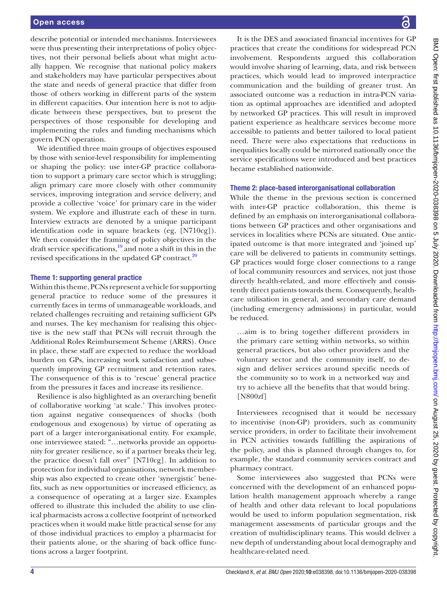describe potential or intended mechanisms. Interviewees were thus presenting their interpretations of policy objectives, not their personal beliefs about what might actually happen. We recognise that national policy makers and stakeholders may have particular perspectives about the state and needs of general practice that differ from those of others working in different parts of the system in different capacities. Our intention here is not to adjudicate between these perspectives, but to present the perspectives of those responsible for developing and implementing the rules and funding mechanisms which govern PCN operation.

We identified three main groups of objectives espoused by those with senior-level responsibility for implementing or shaping the policy: use inter-GP practice collaboration to support a primary care sector which is struggling; align primary care more closely with other community services, improving integration and service delivery; and provide a collective 'voice' for primary care in the wider system. We explore and illustrate each of these in turn. Interview extracts are denoted by a unique participant identification code in square brackets (eg, [N710cg]). We then consider the framing of policy objectives in the draft service specifications, $19$  and note a shift in this in the revised specifications in the updated GP contract.<sup>20</sup>

#### Theme 1: supporting general practice

Within this theme, PCNs represent a vehicle for supporting general practice to reduce some of the pressures it currently faces in terms of unmanageable workloads, and related challenges recruiting and retaining sufficient GPs and nurses. The key mechanism for realising this objective is the new staff that PCNs will recruit through the Additional Roles Reimbursement Scheme (ARRS). Once in place, these staff are expected to reduce the workload burden on GPs, increasing work satisfaction and subsequently improving GP recruitment and retention rates. The consequence of this is to 'rescue' general practice from the pressures it faces and increase its resilience.

Resilience is also highlighted as an overarching benefit of collaborative working 'at scale.' This involves protection against negative consequences of shocks (both endogenous and exogenous) by virtue of operating as part of a larger interorganisational entity. For example, one interviewee stated: "…networks provide an opportunity for greater resilience, so if a partner breaks their leg, the practice doesn't fall over" [N710cg]. In addition to protection for individual organisations, network membership was also expected to create other 'synergistic' benefits, such as new opportunities or increased efficiency, as a consequence of operating at a larger size. Examples offered to illustrate this included the ability to use clinical pharmacists across a collective footprint of networked practices when it would make little practical sense for any of those individual practices to employ a pharmacist for their patients alone, or the sharing of back office functions across a larger footprint.

It is the DES and associated financial incentives for GP practices that create the conditions for widespread PCN involvement. Respondents argued this collaboration would involve sharing of learning, data, and risk between practices, which would lead to improved interpractice communication and the building of greater trust. An associated outcome was a reduction in intra-PCN variation as optimal approaches are identified and adopted by networked GP practices. This will result in improved patient experience as healthcare services become more accessible to patients and better tailored to local patient need. There were also expectations that reductions in inequalities locally could be mirrored nationally once the service specifications were introduced and best practices became established nationwide.

#### Theme 2: place-based interorganisational collaboration

While the theme in the previous section is concerned with inter-GP practice collaboration, this theme is defined by an emphasis on interorganisational collaborations between GP practices and other organisations and services in localities where PCNs are situated. One anticipated outcome is that more integrated and 'joined up' care will be delivered to patients in community settings. GP practices would forge closer connections to a range of local community resources and services, not just those directly health-related, and more effectively and consistently direct patients towards them. Consequently, healthcare utilisation in general, and secondary care demand (including emergency admissions) in particular, would be reduced.

…aim is to bring together different providers in the primary care setting within networks, so within general practices, but also other providers and the voluntary sector and the community itself, to design and deliver services around specific needs of the community so to work in a networked way and try to achieve all the benefits that that would bring. [N800zf]

Interviewees recognised that it would be necessary to incentivise (non-GP) providers, such as community service providers, in order to facilitate their involvement in PCN activities towards fulfilling the aspirations of the policy, and this is planned through changes to, for example, the standard community services contract and pharmacy contract.

Some interviewees also suggested that PCNs were concerned with the development of an enhanced population health management approach whereby a range of health and other data relevant to local populations would be used to inform population segmentation, risk management assessments of particular groups and the creation of multidisciplinary teams. This would deliver a new depth of understanding about local demography and healthcare-related need.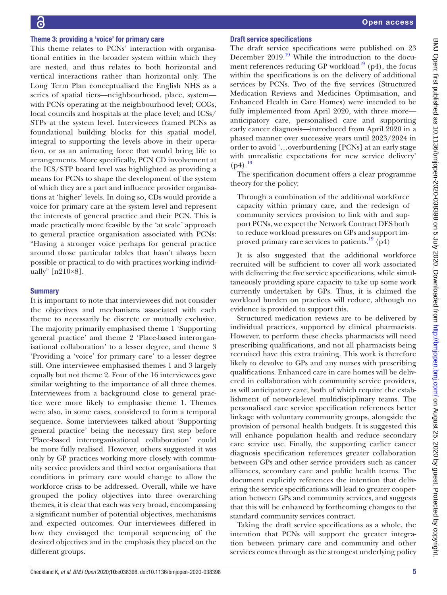#### Theme 3: providing a 'voice' for primary care

This theme relates to PCNs' interaction with organisational entities in the broader system within which they are nested, and thus relates to both horizontal and vertical interactions rather than horizontal only. The Long Term Plan conceptualised the English NHS as a series of spatial tiers—neighbourhood, place, system with PCNs operating at the neighbourhood level; CCGs, local councils and hospitals at the place level; and ICSs/ STPs at the system level. Interviewees framed PCNs as foundational building blocks for this spatial model, integral to supporting the levels above in their operation, or as an animating force that would bring life to arrangements. More specifically, PCN CD involvement at the ICS/STP board level was highlighted as providing a means for PCNs to shape the development of the system of which they are a part and influence provider organisations at 'higher' levels. In doing so, CDs would provide a voice for primary care at the system level and represent the interests of general practice and their PCN. This is made practically more feasible by the 'at scale' approach to general practice organisation associated with PCNs: "Having a stronger voice perhaps for general practice around those particular tables that hasn't always been possible or practical to do with practices working individually" [n210×8].

#### **Summary**

It is important to note that interviewees did not consider the objectives and mechanisms associated with each theme to necessarily be discrete or mutually exclusive. The majority primarily emphasised theme 1 'Supporting general practice' and theme 2 'Place-based interorganisational collaboration' to a lesser degree, and theme 3 'Providing a 'voice' for primary care' to a lesser degree still. One interviewee emphasised themes 1 and 3 largely equally but not theme 2. Four of the 16 interviewees gave similar weighting to the importance of all three themes. Interviewees from a background close to general practice were more likely to emphasise theme 1. Themes were also, in some cases, considered to form a temporal sequence. Some interviewees talked about 'Supporting general practice' being the necessary first step before 'Place-based interorganisational collaboration' could be more fully realised. However, others suggested it was only by GP practices working more closely with community service providers and third sector organisations that conditions in primary care would change to allow the workforce crisis to be addressed. Overall, while we have grouped the policy objectives into three overarching themes, it is clear that each was very broad, encompassing a significant number of potential objectives, mechanisms and expected outcomes. Our interviewees differed in how they envisaged the temporal sequencing of the desired objectives and in the emphasis they placed on the different groups.

#### Draft service specifications

The draft service specifications were published on 23 December  $2019$ .<sup>19</sup> While the introduction to the document references reducing GP workload<sup>19</sup> (p4), the focus within the specifications is on the delivery of additional services by PCNs. Two of the five services (Structured Medication Reviews and Medicines Optimisation, and Enhanced Health in Care Homes) were intended to be fully implemented from April 2020, with three more anticipatory care, personalised care and supporting early cancer diagnosis—introduced from April 2020 in a phased manner over successive years until 2023/2024 in order to avoid '…overburdening [PCNs] at an early stage with unrealistic expectations for new service delivery'  $(p4).^{19}$ 

The specification document offers a clear programme theory for the policy:

Through a combination of the additional workforce capacity within primary care, and the redesign of community services provision to link with and support PCNs, we expect the Network Contract DES both to reduce workload pressures on GPs and support improved primary care services to patients.<sup>19</sup> (p4)

It is also suggested that the additional workforce recruited will be sufficient to cover all work associated with delivering the five service specifications, while simultaneously providing spare capacity to take up some work currently undertaken by GPs. Thus, it is claimed the workload burden on practices will reduce, although no evidence is provided to support this.

Structured medication reviews are to be delivered by individual practices, supported by clinical pharmacists. However, to perform these checks pharmacists will need prescribing qualifications, and not all pharmacists being recruited have this extra training. This work is therefore likely to devolve to GPs and any nurses with prescribing qualifications. Enhanced care in care homes will be delivered in collaboration with community service providers, as will anticipatory care, both of which require the establishment of network-level multidisciplinary teams. The personalised care service specification references better linkage with voluntary community groups, alongside the provision of personal health budgets. It is suggested this will enhance population health and reduce secondary care service use. Finally, the supporting earlier cancer diagnosis specification references greater collaboration between GPs and other service providers such as cancer alliances, secondary care and public health teams. The document explicitly references the intention that delivering the service specifications will lead to greater cooperation between GPs and community services, and suggests that this will be enhanced by forthcoming changes to the standard community services contract.

Taking the draft service specifications as a whole, the intention that PCNs will support the greater integration between primary care and community and other services comes through as the strongest underlying policy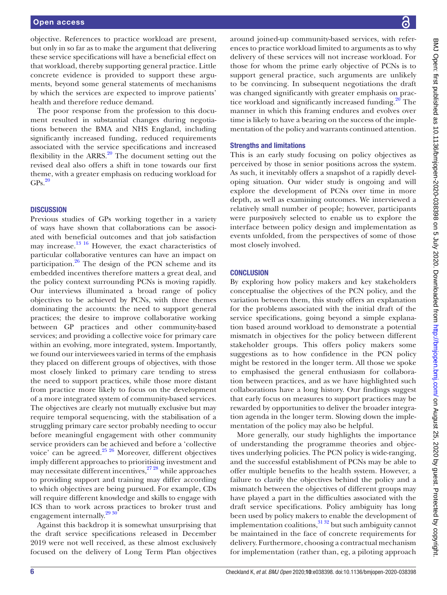objective. References to practice workload are present, but only in so far as to make the argument that delivering these service specifications will have a beneficial effect on that workload, thereby supporting general practice. Little concrete evidence is provided to support these arguments, beyond some general statements of mechanisms by which the services are expected to improve patients' health and therefore reduce demand.

The poor response from the profession to this document resulted in substantial changes during negotiations between the BMA and NHS England, including significantly increased funding, reduced requirements associated with the service specifications and increased flexibility in the ARRS. $20$  The document setting out the revised deal also offers a shift in tone towards our first theme, with a greater emphasis on reducing workload for  $GPs.<sup>20</sup>$ 

#### **DISCUSSION**

Previous studies of GPs working together in a variety of ways have shown that collaborations can be associated with beneficial outcomes and that job satisfaction may increase.<sup>13 16</sup> However, the exact characteristics of particular collaborative ventures can have an impact on participation. $26$  The design of the PCN scheme and its embedded incentives therefore matters a great deal, and the policy context surrounding PCNs is moving rapidly. Our interviews illuminated a broad range of policy objectives to be achieved by PCNs, with three themes dominating the accounts: the need to support general practices; the desire to improve collaborative working between GP practices and other community-based services; and providing a collective voice for primary care within an evolving, more integrated, system. Importantly, we found our interviewees varied in terms of the emphasis they placed on different groups of objectives, with those most closely linked to primary care tending to stress the need to support practices, while those more distant from practice more likely to focus on the development of a more integrated system of community-based services. The objectives are clearly not mutually exclusive but may require temporal sequencing, with the stabilisation of a struggling primary care sector probably needing to occur before meaningful engagement with other community service providers can be achieved and before a 'collective voice' can be agreed. $25\frac{26}{10}$  Moreover, different objectives imply different approaches to prioritising investment and may necessitate different incentives,  $27\frac{28}{9}$  while approaches to providing support and training may differ according to which objectives are being pursued. For example, CDs will require different knowledge and skills to engage with ICS than to work across practices to broker trust and engagement internally.<sup>29 30</sup>

Against this backdrop it is somewhat unsurprising that the draft service specifications released in December 2019 were not well received, as these almost exclusively focused on the delivery of Long Term Plan objectives

around joined-up community-based services, with references to practice workload limited to arguments as to why delivery of these services will not increase workload. For those for whom the prime early objective of PCNs is to support general practice, such arguments are unlikely to be convincing. In subsequent negotiations the draft was changed significantly with greater emphasis on practice workload and significantly increased funding.<sup>20</sup> The manner in which this framing endures and evolves over time is likely to have a bearing on the success of the implementation of the policy and warrants continued attention.

#### Strengths and limitations

This is an early study focusing on policy objectives as perceived by those in senior positions across the system. As such, it inevitably offers a snapshot of a rapidly developing situation. Our wider study is ongoing and will explore the development of PCNs over time in more depth, as well as examining outcomes. We interviewed a relatively small number of people; however, participants were purposively selected to enable us to explore the interface between policy design and implementation as events unfolded, from the perspectives of some of those most closely involved.

#### **CONCLUSION**

By exploring how policy makers and key stakeholders conceptualise the objectives of the PCN policy, and the variation between them, this study offers an explanation for the problems associated with the initial draft of the service specifications, going beyond a simple explanation based around workload to demonstrate a potential mismatch in objectives for the policy between different stakeholder groups. This offers policy makers some suggestions as to how confidence in the PCN policy might be restored in the longer term. All those we spoke to emphasised the general enthusiasm for collaboration between practices, and as we have highlighted such collaborations have a long history. Our findings suggest that early focus on measures to support practices may be rewarded by opportunities to deliver the broader integration agenda in the longer term. Slowing down the implementation of the policy may also be helpful.

More generally, our study highlights the importance of understanding the programme theories and objectives underlying policies. The PCN policy is wide-ranging, and the successful establishment of PCNs may be able to offer multiple benefits to the health system. However, a failure to clarify the objectives behind the policy and a mismatch between the objectives of different groups may have played a part in the difficulties associated with the draft service specifications. Policy ambiguity has long been used by policy makers to enable the development of implementation coalitions, $\frac{3132}{32}$  but such ambiguity cannot be maintained in the face of concrete requirements for delivery. Furthermore, choosing a contractual mechanism for implementation (rather than, eg, a piloting approach